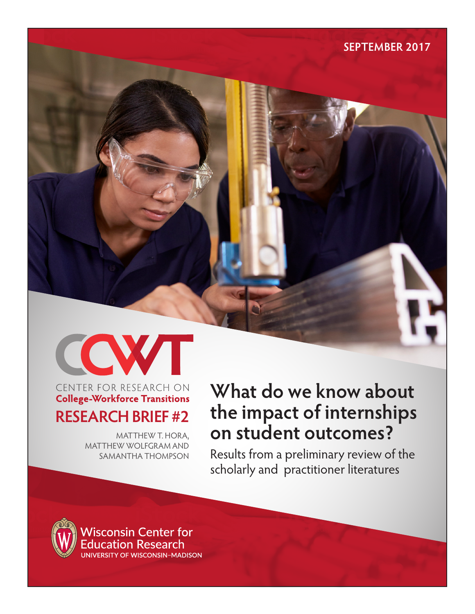

# CENTER FOR RESEARCH ON **College-Workforce Transitions RESEARCH BRIEF #2**

MATTHEW T. HORA, MATTHEW WOLFGRAM AND SAMANTHA THOMPSON

# **What do we know about the impact of internships on student outcomes?**

Results from a preliminary review of the scholarly and practitioner literatures



**SEPTEMBER 2017**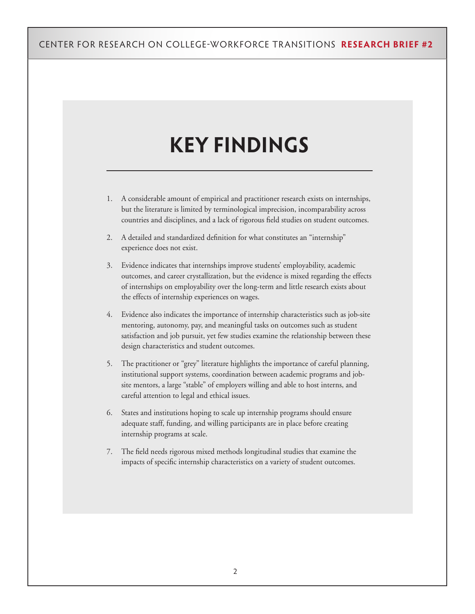# **KEY FINDINGS**

- 1. A considerable amount of empirical and practitioner research exists on internships, but the literature is limited by terminological imprecision, incomparability across countries and disciplines, and a lack of rigorous field studies on student outcomes.
- 2. A detailed and standardized definition for what constitutes an "internship" experience does not exist.
- 3. Evidence indicates that internships improve students' employability, academic outcomes, and career crystallization, but the evidence is mixed regarding the effects of internships on employability over the long-term and little research exists about the effects of internship experiences on wages.
- 4. Evidence also indicates the importance of internship characteristics such as job-site mentoring, autonomy, pay, and meaningful tasks on outcomes such as student satisfaction and job pursuit, yet few studies examine the relationship between these design characteristics and student outcomes.
- 5. The practitioner or "grey" literature highlights the importance of careful planning, institutional support systems, coordination between academic programs and jobsite mentors, a large "stable" of employers willing and able to host interns, and careful attention to legal and ethical issues.
- 6. States and institutions hoping to scale up internship programs should ensure adequate staff, funding, and willing participants are in place before creating internship programs at scale.
- 7. The field needs rigorous mixed methods longitudinal studies that examine the impacts of specific internship characteristics on a variety of student outcomes.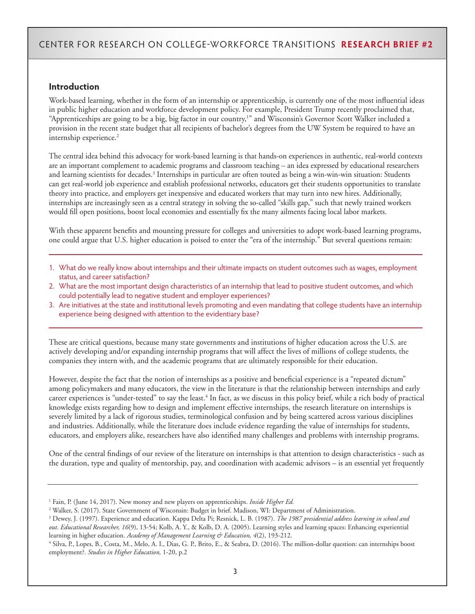### **Introduction**

Work-based learning, whether in the form of an internship or apprenticeship, is currently one of the most influential ideas in public higher education and workforce development policy. For example, President Trump recently proclaimed that, "Apprenticeships are going to be a big, big factor in our country,<sup>1</sup>" and Wisconsin's Governor Scott Walker included a provision in the recent state budget that all recipients of bachelor's degrees from the UW System be required to have an internship experience.<sup>2</sup>

The central idea behind this advocacy for work-based learning is that hands-on experiences in authentic, real-world contexts are an important complement to academic programs and classroom teaching – an idea expressed by educational researchers and learning scientists for decades.<sup>3</sup> Internships in particular are often touted as being a win-win-win situation: Students can get real-world job experience and establish professional networks, educators get their students opportunities to translate theory into practice, and employers get inexpensive and educated workers that may turn into new hires. Additionally, internships are increasingly seen as a central strategy in solving the so-called "skills gap," such that newly trained workers would fill open positions, boost local economies and essentially fix the many ailments facing local labor markets.

With these apparent benefits and mounting pressure for colleges and universities to adopt work-based learning programs, one could argue that U.S. higher education is poised to enter the "era of the internship." But several questions remain:

- 1. What do we really know about internships and their ultimate impacts on student outcomes such as wages, employment status, and career satisfaction?
- 2. What are the most important design characteristics of an internship that lead to positive student outcomes, and which could potentially lead to negative student and employer experiences?
- 3. Are initiatives at the state and institutional levels promoting and even mandating that college students have an internship experience being designed with attention to the evidentiary base?

These are critical questions, because many state governments and institutions of higher education across the U.S. are actively developing and/or expanding internship programs that will affect the lives of millions of college students, the companies they intern with, and the academic programs that are ultimately responsible for their education.

However, despite the fact that the notion of internships as a positive and beneficial experience is a "repeated dictum" among policymakers and many educators, the view in the literature is that the relationship between internships and early career experiences is "under-tested" to say the least.<sup>4</sup> In fact, as we discuss in this policy brief, while a rich body of practical knowledge exists regarding how to design and implement effective internships, the research literature on internships is severely limited by a lack of rigorous studies, terminological confusion and by being scattered across various disciplines and industries. Additionally, while the literature does include evidence regarding the value of internships for students, educators, and employers alike, researchers have also identified many challenges and problems with internship programs.

One of the central findings of our review of the literature on internships is that attention to design characteristics - such as the duration, type and quality of mentorship, pay, and coordination with academic advisors – is an essential yet frequently

<sup>1</sup> Fain, P. (June 14, 2017). New money and new players on apprenticeships. *Inside Higher Ed.*

<sup>2</sup> Walker, S. (2017). State Government of Wisconsin: Budget in brief. Madison, WI: Department of Administration.

<sup>3</sup> Dewey, J. (1997). Experience and education. Kappa Delta Pi; Resnick, L. B. (1987). *The 1987 presidential address learning in school and out. Educational Researcher, 16*(9), 13-54; Kolb, A. Y., & Kolb, D. A. (2005). Learning styles and learning spaces: Enhancing experiential learning in higher education. *Academy of Management Learning & Education, 4*(2), 193-212.

<sup>4</sup> Silva, P., Lopes, B., Costa, M., Melo, A. I., Dias, G. P., Brito, E., & Seabra, D. (2016). The million-dollar question: can internships boost employment?. *Studies in Higher Education,* 1-20, p.2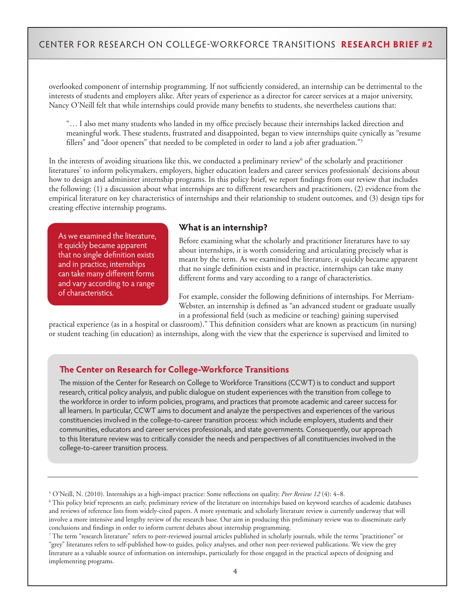overlooked component of internship programming. If not sufficiently considered, an internship can be detrimental to the interests of students and employers alike. After years of experience as a director for career services at a major university, Nancy O'Neill felt that while internships could provide many benefits to students, she nevertheless cautions that:

"… I also met many students who landed in my office precisely because their internships lacked direction and meaningful work. These students, frustrated and disappointed, began to view internships quite cynically as "resume fillers" and "door openers" that needed to be completed in order to land a job after graduation."5

In the interests of avoiding situations like this, we conducted a preliminary review<sup>6</sup> of the scholarly and practitioner literatures7 to inform policymakers, employers, higher education leaders and career services professionals' decisions about how to design and administer internship programs. In this policy brief, we report findings from our review that includes the following: (1) a discussion about what internships are to different researchers and practitioners, (2) evidence from the empirical literature on key characteristics of internships and their relationship to student outcomes, and (3) design tips for creating effective internship programs.

As we examined the literature, it quickly became apparent that no single definition exists and in practice, internships can take many different forms and vary according to a range of characteristics.

### **What is an internship?**

Before examining what the scholarly and practitioner literatures have to say about internships, it is worth considering and articulating precisely what is meant by the term. As we examined the literature, it quickly became apparent that no single definition exists and in practice, internships can take many different forms and vary according to a range of characteristics.

For example, consider the following definitions of internships. For Merriam-Webster, an internship is defined as "an advanced student or graduate usually in a professional field (such as medicine or teaching) gaining supervised

practical experience (as in a hospital or classroom)." This definition considers what are known as practicum (in nursing) or student teaching (in education) as internships, along with the view that the experience is supervised and limited to

#### **The Center on Research for College-Workforce Transitions**

The mission of the Center for Research on College to Workforce Transitions (CCWT) is to conduct and support research, critical policy analysis, and public dialogue on student experiences with the transition from college to the workforce in order to inform policies, programs, and practices that promote academic and career success for all learners. In particular, CCWT aims to document and analyze the perspectives and experiences of the various constituencies involved in the college-to-career transition process: which include employers, students and their communities, educators and career services professionals, and state governments. Consequently, our approach to this literature review was to critically consider the needs and perspectives of all constituencies involved in the college-to-career transition process.

6 This policy brief represents an early, preliminary review of the literature on internships based on keyword searches of academic databases and reviews of reference lists from widely-cited papers. A more systematic and scholarly literature review is currently underway that will involve a more intensive and lengthy review of the research base. Our aim in producing this preliminary review was to disseminate early conclusions and findings in order to inform current debates about internship programming.

7 The term "research literature" refers to peer-reviewed journal articles published in scholarly journals, while the terms "practitioner" or "grey" literatures refers to self-published how-to guides, policy analyses, and other non peer-reviewed publications. We view the grey literature as a valuable source of information on internships, particularly for those engaged in the practical aspects of designing and implementing programs.

<sup>5</sup> O'Neill, N. (2010). Internships as a high-impact practice: Some reflections on quality. *Peer Review 12* (4): 4–8.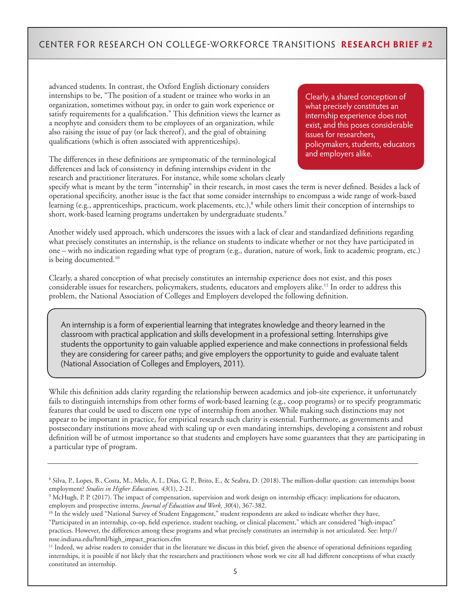advanced students. In contrast, the Oxford English dictionary considers internships to be, "The position of a student or trainee who works in an organization, sometimes without pay, in order to gain work experience or satisfy requirements for a qualification." This definition views the learner as a neophyte and considers them to be employees of an organization, while also raising the issue of pay (or lack thereof), and the goal of obtaining qualifications (which is often associated with apprenticeships).

The differences in these definitions are symptomatic of the terminological differences and lack of consistency in defining internships evident in the research and practitioner literatures. For instance, while some scholars clearly Clearly, a shared conception of what precisely constitutes an internship experience does not exist, and this poses considerable issues for researchers, policymakers, students, educators and employers alike.

specify what is meant by the term "internship" in their research, in most cases the term is never defined. Besides a lack of operational specificity, another issue is the fact that some consider internships to encompass a wide range of work-based learning (e.g., apprenticeships, practicum, work placements, etc.),<sup>8</sup> while others limit their conception of internships to short, work-based learning programs undertaken by undergraduate students.<sup>9</sup>

Another widely used approach, which underscores the issues with a lack of clear and standardized definitions regarding what precisely constitutes an internship, is the reliance on students to indicate whether or not they have participated in one – with no indication regarding what type of program (e.g., duration, nature of work, link to academic program, etc.) is being documented.<sup>10</sup>

Clearly, a shared conception of what precisely constitutes an internship experience does not exist, and this poses considerable issues for researchers, policymakers, students, educators and employers alike.11 In order to address this problem, the National Association of Colleges and Employers developed the following definition.

An internship is a form of experiential learning that integrates knowledge and theory learned in the classroom with practical application and skills development in a professional setting. Internships give students the opportunity to gain valuable applied experience and make connections in professional fields they are considering for career paths; and give employers the opportunity to guide and evaluate talent (National Association of Colleges and Employers, 2011).

While this definition adds clarity regarding the relationship between academics and job-site experience, it unfortunately fails to distinguish internships from other forms of work-based learning (e.g., coop programs) or to specify programmatic features that could be used to discern one type of internship from another. While making such distinctions may not appear to be important in practice, for empirical research such clarity is essential. Furthermore, as governments and postsecondary institutions move ahead with scaling up or even mandating internships, developing a consistent and robust definition will be of utmost importance so that students and employers have some guarantees that they are participating in a particular type of program.

<sup>8</sup> Silva, P., Lopes, B., Costa, M., Melo, A. I., Dias, G. P., Brito, E., & Seabra, D. (2018). The million-dollar question: can internships boost employment? *Studies in Higher Education, 43*(1), 2-21.

<sup>9</sup> McHugh, P. P. (2017). The impact of compensation, supervision and work design on internship efficacy: implications for educators, employers and prospective interns. *Journal of Education and Work, 30*(4), 367-382.

<sup>&</sup>lt;sup>10</sup> In the widely used "National Survey of Student Engagement," student respondents are asked to indicate whether they have, "Participated in an internship, co-op, field experience, student teaching, or clinical placement," which are considered "high-impact" practices. However, the differences among these programs and what precisely constitutes an internship is not articulated. See: http:// nsse.indiana.edu/html/high\_impact\_practices.cfm

<sup>&</sup>lt;sup>11</sup> Indeed, we advise readers to consider that in the literature we discuss in this brief, given the absence of operational definitions regarding internships, it is possible if not likely that the researchers and practitioners whose work we cite all had different conceptions of what exactly constituted an internship.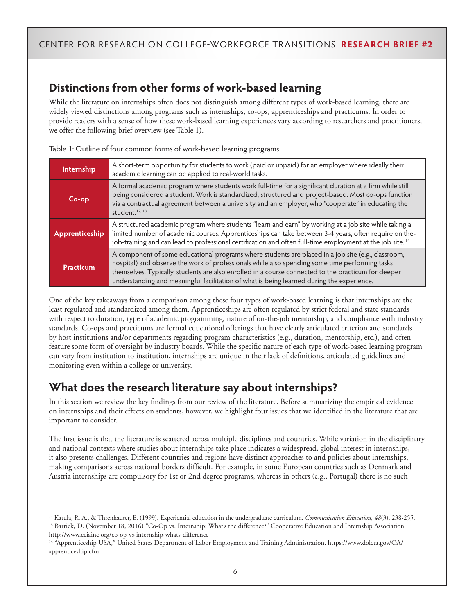# **Distinctions from other forms of work-based learning**

While the literature on internships often does not distinguish among different types of work-based learning, there are widely viewed distinctions among programs such as internships, co-ops, apprenticeships and practicums. In order to provide readers with a sense of how these work-based learning experiences vary according to researchers and practitioners, we offer the following brief overview (see Table 1).

| Internship       | A short-term opportunity for students to work (paid or unpaid) for an employer where ideally their<br>academic learning can be applied to real-world tasks.                                                                                                                                                                                                                                              |  |  |  |  |  |
|------------------|----------------------------------------------------------------------------------------------------------------------------------------------------------------------------------------------------------------------------------------------------------------------------------------------------------------------------------------------------------------------------------------------------------|--|--|--|--|--|
| $Co$ -op         | A formal academic program where students work full-time for a significant duration at a firm while still<br>being considered a student. Work is standardized, structured and project-based. Most co-ops function<br>via a contractual agreement between a university and an employer, who "cooperate" in educating the<br>student. $12, 13$                                                              |  |  |  |  |  |
| Apprenticeship   | A structured academic program where students "learn and earn" by working at a job site while taking a<br>limited number of academic courses. Apprenticeships can take between 3-4 years, often require on the-<br>job-training and can lead to professional certification and often full-time employment at the job site. <sup>14</sup>                                                                  |  |  |  |  |  |
| <b>Practicum</b> | A component of some educational programs where students are placed in a job site (e.g., classroom,<br>hospital) and observe the work of professionals while also spending some time performing tasks<br>themselves. Typically, students are also enrolled in a course connected to the practicum for deeper<br>understanding and meaningful facilitation of what is being learned during the experience. |  |  |  |  |  |

Table 1: Outline of four common forms of work-based learning programs

One of the key takeaways from a comparison among these four types of work-based learning is that internships are the least regulated and standardized among them. Apprenticeships are often regulated by strict federal and state standards with respect to duration, type of academic programming, nature of on-the-job mentorship, and compliance with industry standards. Co-ops and practicums are formal educational offerings that have clearly articulated criterion and standards by host institutions and/or departments regarding program characteristics (e.g., duration, mentorship, etc.), and often feature some form of oversight by industry boards. While the specific nature of each type of work-based learning program can vary from institution to institution, internships are unique in their lack of definitions, articulated guidelines and monitoring even within a college or university.

# **What does the research literature say about internships?**

In this section we review the key findings from our review of the literature. Before summarizing the empirical evidence on internships and their effects on students, however, we highlight four issues that we identified in the literature that are important to consider.

The first issue is that the literature is scattered across multiple disciplines and countries. While variation in the disciplinary and national contexts where studies about internships take place indicates a widespread, global interest in internships, it also presents challenges. Different countries and regions have distinct approaches to and policies about internships, making comparisons across national borders difficult. For example, in some European countries such as Denmark and Austria internships are compulsory for 1st or 2nd degree programs, whereas in others (e.g., Portugal) there is no such

<sup>12</sup> Katula, R. A., & Threnhauser, E. (1999). Experiential education in the undergraduate curriculum. *Communication Education, 48*(3), 238-255. <sup>13</sup> Barrick, D. (November 18, 2016) "Co-Op vs. Internship: What's the difference?" Cooperative Education and Internship Association. http://www.ceiainc.org/co-op-vs-internship-whats-difference

<sup>14 &</sup>quot;Apprenticeship USA," United States Department of Labor Employment and Training Administration. https://www.doleta.gov/OA/ apprenticeship.cfm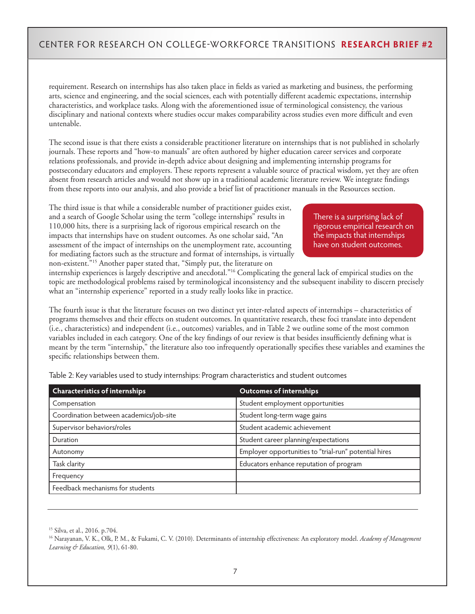requirement. Research on internships has also taken place in fields as varied as marketing and business, the performing arts, science and engineering, and the social sciences, each with potentially different academic expectations, internship characteristics, and workplace tasks. Along with the aforementioned issue of terminological consistency, the various disciplinary and national contexts where studies occur makes comparability across studies even more difficult and even untenable.

The second issue is that there exists a considerable practitioner literature on internships that is not published in scholarly journals. These reports and "how-to manuals" are often authored by higher education career services and corporate relations professionals, and provide in-depth advice about designing and implementing internship programs for postsecondary educators and employers. These reports represent a valuable source of practical wisdom, yet they are often absent from research articles and would not show up in a traditional academic literature review. We integrate findings from these reports into our analysis, and also provide a brief list of practitioner manuals in the Resources section.

The third issue is that while a considerable number of practitioner guides exist, and a search of Google Scholar using the term "college internships" results in 110,000 hits, there is a surprising lack of rigorous empirical research on the impacts that internships have on student outcomes. As one scholar said, "An assessment of the impact of internships on the unemployment rate, accounting for mediating factors such as the structure and format of internships, is virtually non-existent."15 Another paper stated that, "Simply put, the literature on

There is a surprising lack of rigorous empirical research on the impacts that internships have on student outcomes.

internship experiences is largely descriptive and anecdotal."16 Complicating the general lack of empirical studies on the topic are methodological problems raised by terminological inconsistency and the subsequent inability to discern precisely what an "internship experience" reported in a study really looks like in practice.

The fourth issue is that the literature focuses on two distinct yet inter-related aspects of internships – characteristics of programs themselves and their effects on student outcomes. In quantitative research, these foci translate into dependent (i.e., characteristics) and independent (i.e., outcomes) variables, and in Table 2 we outline some of the most common variables included in each category. One of the key findings of our review is that besides insufficiently defining what is meant by the term "internship," the literature also too infrequently operationally specifies these variables and examines the specific relationships between them.

| <b>Characteristics of internships</b>   | <b>Outcomes of internships</b>                        |  |  |
|-----------------------------------------|-------------------------------------------------------|--|--|
| Compensation                            | Student employment opportunities                      |  |  |
| Coordination between academics/job-site | Student long-term wage gains                          |  |  |
| Supervisor behaviors/roles              | Student academic achievement                          |  |  |
| Duration                                | Student career planning/expectations                  |  |  |
| Autonomy                                | Employer opportunities to "trial-run" potential hires |  |  |
| Task clarity                            | Educators enhance reputation of program               |  |  |
| Frequency                               |                                                       |  |  |
| Feedback mechanisms for students        |                                                       |  |  |

Table 2: Key variables used to study internships: Program characteristics and student outcomes

15 Silva, et al., 2016. p.704.

16 Narayanan, V. K., Olk, P. M., & Fukami, C. V. (2010). Determinants of internship effectiveness: An exploratory model. *Academy of Management Learning & Education, 9*(1), 61-80.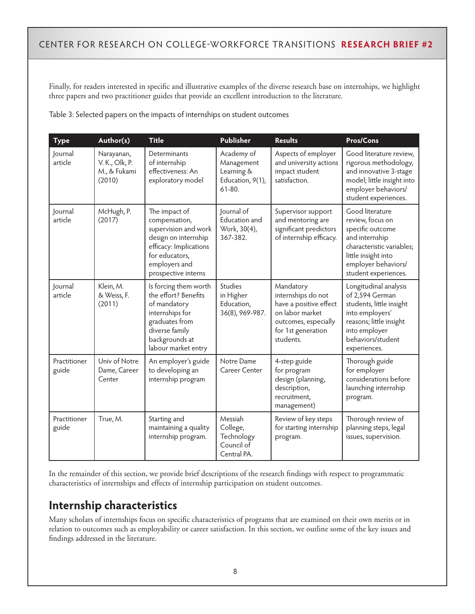Finally, for readers interested in specific and illustrative examples of the diverse research base on internships, we highlight three papers and two practitioner guides that provide an excellent introduction to the literature.

| <b>Type</b>           | Author(s)                                              | <b>Title</b>                                                                                                                                                       | Publisher                                                                | <b>Results</b>                                                                                                                          | Pros/Cons                                                                                                                                                                    |
|-----------------------|--------------------------------------------------------|--------------------------------------------------------------------------------------------------------------------------------------------------------------------|--------------------------------------------------------------------------|-----------------------------------------------------------------------------------------------------------------------------------------|------------------------------------------------------------------------------------------------------------------------------------------------------------------------------|
| Journal<br>article    | Narayanan,<br>V. K., Olk, P.<br>M., & Fukami<br>(2010) | Determinants<br>of internship<br>effectiveness: An<br>exploratory model                                                                                            | Academy of<br>Management<br>Learning &<br>Education, 9(1),<br>$61 - 80.$ | Aspects of employer<br>and university actions<br>impact student<br>satisfaction.                                                        | Good literature review,<br>rigorous methodology,<br>and innovative 3-stage<br>model; little insight into<br>employer behaviors/<br>student experiences.                      |
| Journal<br>article    | McHugh, P.<br>(2017)                                   | The impact of<br>compensation,<br>supervision and work<br>design on internship<br>efficacy: Implications<br>for educators,<br>employers and<br>prospective interns | Journal of<br>Education and<br>Work, 30(4),<br>367-382.                  | Supervisor support<br>and mentoring are<br>significant predictors<br>of internship efficacy.                                            | Good literature<br>review, focus on<br>specific outcome<br>and internship<br>characteristic variables;<br>little insight into<br>employer behaviors/<br>student experiences. |
| Journal<br>article    | Klein, M.<br>& Weiss, F.<br>(2011)                     | Is forcing them worth<br>the effort? Benefits<br>of mandatory<br>internships for<br>graduates from<br>diverse family<br>backgrounds at<br>labour market entry      | Studies<br>in Higher<br>Education,<br>36(8), 969-987.                    | Mandatory<br>internships do not<br>have a positive effect<br>on labor market<br>outcomes, especially<br>for 1st generation<br>students. | Longitudinal analysis<br>of 2,594 German<br>students, little insight<br>into employers'<br>reasons; little insight<br>into employer<br>behaviors/student<br>experiences.     |
| Practitioner<br>guide | Univ of Notre<br>Dame, Career<br>Center                | An employer's guide<br>to developing an<br>internship program                                                                                                      | Notre Dame<br>Career Center                                              | 4-step guide<br>for program<br>design (planning,<br>description,<br>recruitment,<br>management)                                         | Thorough guide<br>for employer<br>considerations before<br>launching internship<br>program.                                                                                  |
| Practitioner<br>guide | True, M.                                               | Starting and<br>maintaining a quality<br>internship program.                                                                                                       | Messiah<br>College,<br>Technology<br>Council of<br>Central PA.           | Review of key steps<br>for starting internship<br>program.                                                                              | Thorough review of<br>planning steps, legal<br>issues, supervision.                                                                                                          |

Table 3: Selected papers on the impacts of internships on student outcomes

In the remainder of this section, we provide brief descriptions of the research findings with respect to programmatic characteristics of internships and effects of internship participation on student outcomes.

# **Internship characteristics**

Many scholars of internships focus on specific characteristics of programs that are examined on their own merits or in relation to outcomes such as employability or career satisfaction. In this section, we outline some of the key issues and findings addressed in the literature.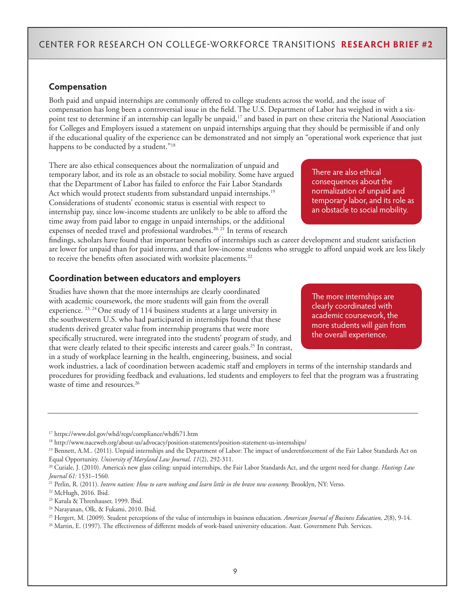### **Compensation**

Both paid and unpaid internships are commonly offered to college students across the world, and the issue of compensation has long been a controversial issue in the field. The U.S. Department of Labor has weighed in with a sixpoint test to determine if an internship can legally be unpaid,<sup>17</sup> and based in part on these criteria the National Association for Colleges and Employers issued a statement on unpaid internships arguing that they should be permissible if and only if the educational quality of the experience can be demonstrated and not simply an "operational work experience that just happens to be conducted by a student."<sup>18</sup>

There are also ethical consequences about the normalization of unpaid and temporary labor, and its role as an obstacle to social mobility. Some have argued that the Department of Labor has failed to enforce the Fair Labor Standards Act which would protect students from substandard unpaid internships.<sup>19</sup> Considerations of students' economic status is essential with respect to internship pay, since low-income students are unlikely to be able to afford the time away from paid labor to engage in unpaid internships, or the additional expenses of needed travel and professional wardrobes.<sup>20, 21</sup> In terms of research

findings, scholars have found that important benefits of internships such as career development and student satisfaction are lower for unpaid than for paid interns, and that low-income students who struggle to afford unpaid work are less likely to receive the benefits often associated with worksite placements.<sup>22</sup>

### **Coordination between educators and employers**

Studies have shown that the more internships are clearly coordinated with academic coursework, the more students will gain from the overall experience. <sup>23, 24</sup> One study of 114 business students at a large university in the southwestern U.S. who had participated in internships found that these students derived greater value from internship programs that were more specifically structured, were integrated into the students' program of study, and that were clearly related to their specific interests and career goals.<sup>25</sup> In contrast, in a study of workplace learning in the health, engineering, business, and social

work industries, a lack of coordination between academic staff and employers in terms of the internship standards and procedures for providing feedback and evaluations, led students and employers to feel that the program was a frustrating waste of time and resources.<sup>26</sup>

There are also ethical consequences about the normalization of unpaid and temporary labor, and its role as an obstacle to social mobility.

The more internships are clearly coordinated with academic coursework, the more students will gain from the overall experience.

<sup>17</sup> https://www.dol.gov/whd/regs/compliance/whdfs71.htm

<sup>18</sup> http://www.naceweb.org/about-us/advocacy/position-statements/position-statement-us-internships/

<sup>&</sup>lt;sup>19</sup> Bennett, A.M.. (2011). Unpaid internships and the Department of Labor: The impact of underenforcement of the Fair Labor Standards Act on Equal Opportunity. *University of Maryland Law Journal, 11*(2), 292-311.

<sup>20</sup> Curiale, J. (2010). America's new glass ceiling: unpaid internships, the Fair Labor Standards Act, and the urgent need for change. *Hastings Law Journal 61:* 1531–1560.

<sup>21</sup> Perlin, R. (2011). *Intern nation: How to earn nothing and learn little in the brave new economy.* Brooklyn, NY: Verso.

<sup>22</sup> McHugh, 2016. Ibid.

<sup>23</sup> Katula & Threnhauser, 1999. Ibid.

<sup>24</sup> Narayanan, Olk, & Fukami, 2010. Ibid.

<sup>25</sup> Hergert, M. (2009). Student perceptions of the value of internships in business education. *American Journal of Business Education, 2*(8), 9-14.

<sup>26</sup> Martin, E. (1997). The effectiveness of different models of work-based university education. Aust. Government Pub. Services.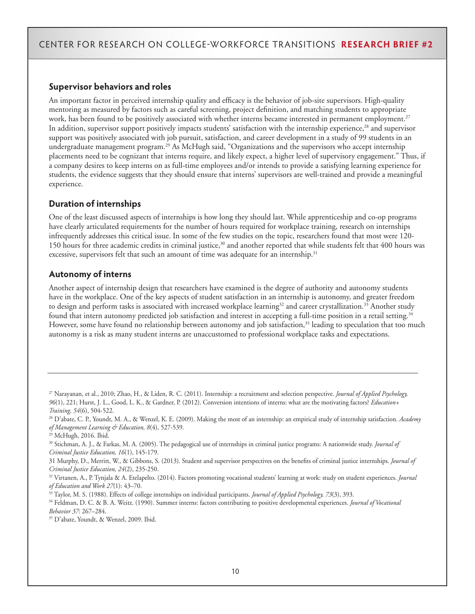### **Supervisor behaviors and roles**

An important factor in perceived internship quality and efficacy is the behavior of job-site supervisors. High-quality mentoring as measured by factors such as careful screening, project definition, and matching students to appropriate work, has been found to be positively associated with whether interns became interested in permanent employment.<sup>27</sup> In addition, supervisor support positively impacts students' satisfaction with the internship experience,<sup>28</sup> and supervisor support was positively associated with job pursuit, satisfaction, and career development in a study of 99 students in an undergraduate management program.<sup>29</sup> As McHugh said, "Organizations and the supervisors who accept internship placements need to be cognizant that interns require, and likely expect, a higher level of supervisory engagement." Thus, if a company desires to keep interns on as full-time employees and/or intends to provide a satisfying learning experience for students, the evidence suggests that they should ensure that interns' supervisors are well-trained and provide a meaningful experience.

### **Duration of internships**

One of the least discussed aspects of internships is how long they should last. While apprenticeship and co-op programs have clearly articulated requirements for the number of hours required for workplace training, research on internships infrequently addresses this critical issue. In some of the few studies on the topic, researchers found that most were 120- 150 hours for three academic credits in criminal justice,<sup>30</sup> and another reported that while students felt that 400 hours was excessive, supervisors felt that such an amount of time was adequate for an internship.<sup>31</sup>

#### **Autonomy of interns**

Another aspect of internship design that researchers have examined is the degree of authority and autonomy students have in the workplace. One of the key aspects of student satisfaction in an internship is autonomy, and greater freedom to design and perform tasks is associated with increased workplace learning<sup>32</sup> and career crystallization.<sup>33</sup> Another study found that intern autonomy predicted job satisfaction and interest in accepting a full-time position in a retail setting.<sup>34</sup> However, some have found no relationship between autonomy and job satisfaction,<sup>35</sup> leading to speculation that too much autonomy is a risk as many student interns are unaccustomed to professional workplace tasks and expectations.

31 Murphy, D., Merritt, W., & Gibbons, S. (2013). Student and supervisor perspectives on the benefits of criminal justice internships. *Journal of Criminal Justice Education, 24*(2), 235-250.

<sup>27</sup> Narayanan, et al., 2010; Zhao, H., & Liden, R. C. (2011). Internship: a recruitment and selection perspective. *Journal of Applied Psychology, 96*(1), 221; Hurst, J. L., Good, L. K., & Gardner, P. (2012). Conversion intentions of interns: what are the motivating factors? *Education+ Training, 54*(6), 504-522.

<sup>28</sup> D'abate, C. P., Youndt, M. A., & Wenzel, K. E. (2009). Making the most of an internship: an empirical study of internship satisfaction. *Academy of Management Learning & Education, 8*(4), 527-539.

<sup>29</sup> McHugh, 2016. Ibid.

<sup>30</sup> Stichman, A. J., & Farkas, M. A. (2005). The pedagogical use of internships in criminal justice programs: A nationwide study. *Journal of Criminal Justice Education, 16*(1), 145-179.

<sup>32</sup> Virtanen, A., P. Tynjala & A. Etelapelto. (2014). Factors promoting vocational students' learning at work: study on student experiences. *Journal of Education and Work 27*(1): 43–70.

<sup>33</sup> Taylor, M. S. (1988). Effects of college internships on individual participants. *Journal of Applied Psychology, 73*(3), 393.

<sup>34</sup> Feldman, D. C. & B. A. Weitz. (1990). Summer interns: factors contributing to positive developmental experiences. *Journal of Vocational Behavior 37*: 267–284.

<sup>35</sup> D'abate, Youndt, & Wenzel, 2009. Ibid.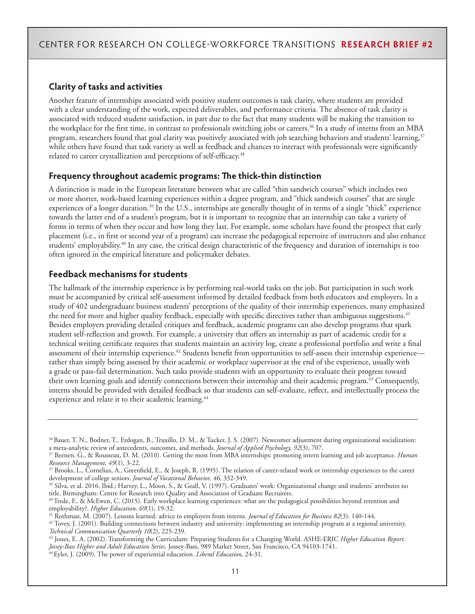### **Clarity of tasks and activities**

Another feature of internships associated with positive student outcomes is task clarity, where students are provided with a clear understanding of the work, expected deliverables, and performance criteria. The absence of task clarity is associated with reduced student satisfaction, in part due to the fact that many students will be making the transition to the workplace for the first time, in contrast to professionals switching jobs or careers.<sup>36</sup> In a study of interns from an MBA program, researchers found that goal clarity was positively associated with job searching behaviors and students' learning,<sup>37</sup> while others have found that task variety as well as feedback and chances to interact with professionals were significantly related to career crystallization and perceptions of self-efficacy.<sup>38</sup>

### **Frequency throughout academic programs: The thick-thin distinction**

A distinction is made in the European literature between what are called "thin sandwich courses" which includes two or more shorter, work-based learning experiences within a degree program, and "thick sandwich courses" that are single experiences of a longer duration.<sup>39</sup> In the U.S., internships are generally thought of in terms of a single "thick" experience towards the latter end of a student's program, but it is important to recognize that an internship can take a variety of forms in terms of when they occur and how long they last. For example, some scholars have found the prospect that early placement (i.e., in first or second year of a program) can increase the pedagogical repertoire of instructors and also enhance students' employability.40 In any case, the critical design characteristic of the frequency and duration of internships is too often ignored in the empirical literature and policymaker debates.

### **Feedback mechanisms for students**

The hallmark of the internship experience is by performing real-world tasks on the job. But participation in such work must be accompanied by critical self-assessment informed by detailed feedback from both educators and employers. In a study of 402 undergraduate business students' perceptions of the quality of their internship experiences, many emphasized the need for more and higher quality feedback, especially with specific directives rather than ambiguous suggestions.<sup>41</sup> Besides employers providing detailed critiques and feedback, academic programs can also develop programs that spark student self-reflection and growth. For example, a university that offers an internship as part of academic credit for a technical writing certificate requires that students maintain an activity log, create a professional portfolio and write a final assessment of their internship experience.<sup>42</sup> Students benefit from opportunities to self-assess their internship experience rather than simply being assessed by their academic or workplace supervisor at the end of the experience, usually with a grade or pass-fail determination. Such tasks provide students with an opportunity to evaluate their progress toward their own learning goals and identify connections between their internship and their academic program.43 Consequently, interns should be provided with detailed feedback so that students can self-evaluate, reflect, and intellectually process the experience and relate it to their academic learning.<sup>44</sup>

<sup>36</sup> Bauer, T. N., Bodner, T., Erdogan, B., Truxillo, D. M., & Tucker, J. S. (2007). Newcomer adjustment during organizational socialization: a meta-analytic review of antecedents, outcomes, and methods. *Journal of Applied Psychology, 92*(3), 707.

<sup>37</sup> Beenen, G., & Rousseau, D. M. (2010). Getting the most from MBA internships: promoting intern learning and job acceptance. *Human Resource Management, 49*(1), 3-22.

 $37$  Brooks, L., Cornelius, A., Greenfield, E., & Joseph, R. (1995). The relation of career-related work or internship experiences to the career development of college seniors. *Journal of Vocational Behavior, 46,* 332-349.

<sup>39</sup> Silva, et al. 2016. Ibid.; Harvey, L., Moon, S., & Geall, V. (1997). Graduates' work: Organizational change and students' attributes no title. Birmingham: Centre for Research into Quality and Association of Graduate Recruiters.

<sup>40</sup> Trede, F., & McEwen, C. (2015). Early workplace learning experiences: what are the pedagogical possibilities beyond retention and employability?. *Higher Education, 69*(1), 19-32.

<sup>41</sup> Rothman, M. (2007). Lessons learned: advice to employers from interns. *Journal of Education for Business 82*(3): 140-144.

 $42$  Tovey, J. (2001). Building connections between industry and university: implementing an internship program at a regional university. *Technical Communication Quarterly 10*(2), 225-239.

<sup>43</sup> Jones, E. A. (2002). Transforming the Curriculum: Preparing Students for a Changing World. ASHE-ERIC *Higher Education Report. Jossey-Bass Higher and Adult Education Series.* Jossey-Bass, 989 Market Street, San Francisco, CA 94103-1741.

<sup>44</sup> Eyler, J. (2009). The power of experiential education. *Liberal Education,* 24-31.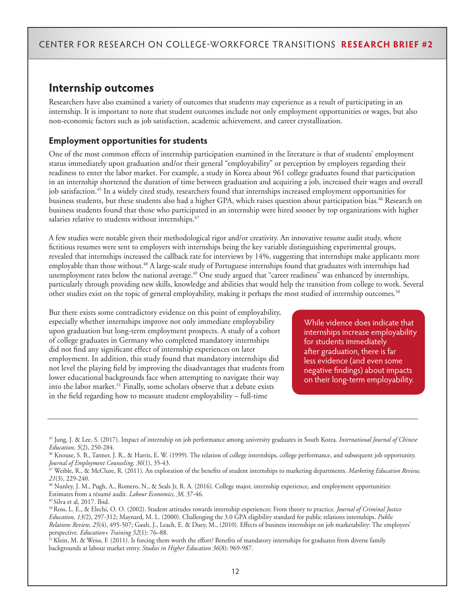# **Internship outcomes**

Researchers have also examined a variety of outcomes that students may experience as a result of participating in an internship. It is important to note that student outcomes include not only employment opportunities or wages, but also non-economic factors such as job satisfaction, academic achievement, and career crystallization.

### **Employment opportunities for students**

One of the most common effects of internship participation examined in the literature is that of students' employment status immediately upon graduation and/or their general "employability" or perception by employers regarding their readiness to enter the labor market. For example, a study in Korea about 961 college graduates found that participation in an internship shortened the duration of time between graduation and acquiring a job, increased their wages and overall job satisfaction.<sup>45</sup> In a widely cited study, researchers found that internships increased employment opportunities for business students, but these students also had a higher GPA, which raises question about participation bias.<sup>46</sup> Research on business students found that those who participated in an internship were hired sooner by top organizations with higher salaries relative to students without internships.<sup>47</sup>

A few studies were notable given their methodological rigor and/or creativity. An innovative resume audit study, where fictitious resumes were sent to employers with internships being the key variable distinguishing experimental groups, revealed that internships increased the callback rate for interviews by 14%, suggesting that internships make applicants more employable than those without.<sup>48</sup> A large-scale study of Portuguese internships found that graduates with internships had unemployment rates below the national average.<sup>49</sup> One study argued that "career readiness" was enhanced by internships, particularly through providing new skills, knowledge and abilities that would help the transition from college to work. Several other studies exist on the topic of general employability, making it perhaps the most studied of internship outcomes.<sup>50</sup>

But there exists some contradictory evidence on this point of employability, especially whether internships improve not only immediate employability upon graduation but long-term employment prospects. A study of a cohort of college graduates in Germany who completed mandatory internships did not find any significant effect of internship experiences on later employment. In addition, this study found that mandatory internships did not level the playing field by improving the disadvantages that students from lower educational backgrounds face when attempting to navigate their way into the labor market.<sup>51</sup> Finally, some scholars observe that a debate exists in the field regarding how to measure student employability – full-time

While vidence does indicate that internships increase employability for students immediately after graduation, there is far less evidence (and even some negative findings) about impacts on their long-term employability.

<sup>45</sup> Jung, J. & Lee, S. (2017). Impact of internship on job performance among university graduates in South Korea. *International Journal of Chinese Education, 5*(2), 250-284.

<sup>46</sup> Knouse, S. B., Tanner, J. R., & Harris, E. W. (1999). The relation of college internships, college performance, and subsequent job opportunity. *Journal of Employment Counseling, 36*(1), 35-43.

<sup>47</sup> Weible, R., & McClure, R. (2011). An exploration of the benefits of student internships to marketing departments. *Marketing Education Review, 21*(3), 229-240.

<sup>48</sup> Nunley, J. M., Pugh, A., Romero, N., & Seals Jr, R. A. (2016). College major, internship experience, and employment opportunities: Estimates from a résumé audit. *Labour Economics, 38,* 37-46.

<sup>49</sup> Silva et al, 2017. Ibid.

<sup>50</sup> Ross, L. E., & Elechi, O. O. (2002). Student attitudes towards internship experiences: From theory to practice. *Journal of Criminal Justice Education, 13(*2), 297-312; Maynard, M. L. (2000). Challenging the 3.0 GPA eligibility standard for public relations internships. *Public Relations Review, 25*(4), 495-507; Gault, J., Leach, E. & Duey, M., (2010). Effects of business internships on job marketability: The employers' perspective. *Education+ Training 52*(1): 76–88.

<sup>51</sup> Klein, M. & Weiss, F. (2011). Is forcing them worth the effort? Benefits of mandatory internships for graduates from diverse family backgrounds at labour market entry. *Studies in Higher Education 36*(8): 969-987.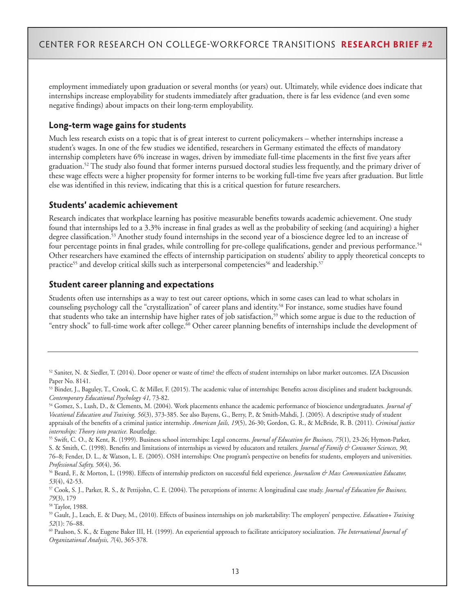employment immediately upon graduation or several months (or years) out. Ultimately, while evidence does indicate that internships increase employability for students immediately after graduation, there is far less evidence (and even some negative findings) about impacts on their long-term employability.

### **Long-term wage gains for students**

Much less research exists on a topic that is of great interest to current policymakers – whether internships increase a student's wages. In one of the few studies we identified, researchers in Germany estimated the effects of mandatory internship completers have 6% increase in wages, driven by immediate full-time placements in the first five years after graduation.<sup>52</sup> The study also found that former interns pursued doctoral studies less frequently, and the primary driver of these wage effects were a higher propensity for former interns to be working full-time five years after graduation. But little else was identified in this review, indicating that this is a critical question for future researchers.

### **Students' academic achievement**

Research indicates that workplace learning has positive measurable benefits towards academic achievement. One study found that internships led to a 3.3% increase in final grades as well as the probability of seeking (and acquiring) a higher degree classification.53 Another study found internships in the second year of a bioscience degree led to an increase of four percentage points in final grades, while controlling for pre-college qualifications, gender and previous performance.54 Other researchers have examined the effects of internship participation on students' ability to apply theoretical concepts to practice<sup>55</sup> and develop critical skills such as interpersonal competencies<sup>56</sup> and leadership.<sup>57</sup>

### **Student career planning and expectations**

Students often use internships as a way to test out career options, which in some cases can lead to what scholars in counseling psychology call the "crystallization" of career plans and identity.<sup>58</sup> For instance, some studies have found that students who take an internship have higher rates of job satisfaction,<sup>59</sup> which some argue is due to the reduction of "entry shock" to full-time work after college.60 Other career planning benefits of internships include the development of

 $52$  Saniter, N. & Siedler, T. (2014). Door opener or waste of time? the effects of student internships on labor market outcomes. IZA Discussion Paper No. 8141.

<sup>53</sup> Binder, J., Baguley, T., Crook, C. & Miller, F. (2015). The academic value of internships: Benefits across disciplines and student backgrounds. *Contemporary Educational Psychology 41,* 73-82.

<sup>54</sup> Gomez, S., Lush, D., & Clements, M. (2004). Work placements enhance the academic performance of bioscience undergraduates*. Journal of Vocational Education and Training, 56*(3), 373-385. See also Bayens, G., Berry, P., & Smith-Mahdi, J. (2005). A descriptive study of student appraisals of the benefits of a criminal justice internship. *American Jails, 19*(5), 26-30; Gordon, G. R., & McBride, R. B. (2011). *Criminal justice internships: Theory into practice.* Routledge.

<sup>55</sup> Swift, C. O., & Kent, R. (1999). Business school internships: Legal concerns. *Journal of Education for Business, 75*(1), 23-26; Hymon-Parker, S. & Smith, C. (1998). Benefits and limitations of internships as viewed by educators and retailers. *Journal of Family & Consumer Sciences, 90,* 76–8; Fender, D. L., & Watson, L. E. (2005). OSH internships: One program's perspective on benefits for students, employers and universities. *Professional Safety, 50*(4), 36.

<sup>56</sup> Beard, F., & Morton, L. (1998). Effects of internship predictors on successful field experience. *Journalism & Mass Communication Educator, 53*(4), 42-53.

<sup>57</sup> Cook, S. J., Parker, R. S., & Pettijohn, C. E. (2004). The perceptions of interns: A longitudinal case study. *Journal of Education for Business, 79*(3), 179

<sup>58</sup> Taylor, 1988.

<sup>59</sup> Gault, J., Leach, E. & Duey, M., (2010). Effects of business internships on job marketability: The employers' perspective. *Education+ Training 52*(1): 76–88.

<sup>60</sup> Paulson, S. K., & Eugene Baker III, H. (1999). An experiential approach to facilitate anticipatory socialization. *The International Journal of Organizational Analysis, 7*(4), 365-378.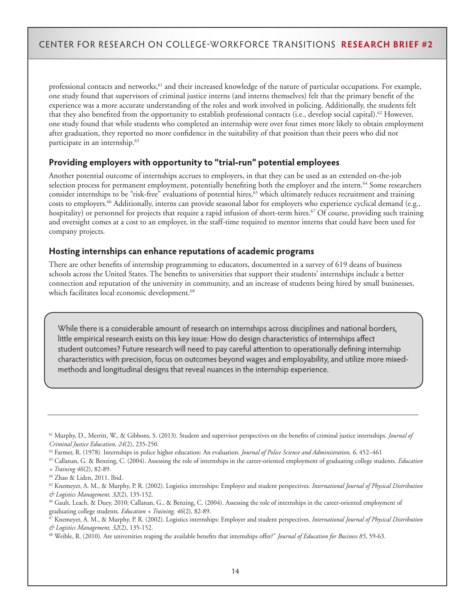professional contacts and networks,<sup>61</sup> and their increased knowledge of the nature of particular occupations. For example, one study found that supervisors of criminal justice interns (and interns themselves) felt that the primary benefit of the experience was a more accurate understanding of the roles and work involved in policing. Additionally, the students felt that they also benefited from the opportunity to establish professional contacts (i.e., develop social capital).<sup>62</sup> However, one study found that while students who completed an internship were over four times more likely to obtain employment after graduation, they reported no more confidence in the suitability of that position than their peers who did not participate in an internship.<sup>63</sup>

### **Providing employers with opportunity to "trial-run" potential employees**

Another potential outcome of internships accrues to employers, in that they can be used as an extended on-the-job selection process for permanent employment, potentially benefiting both the employer and the intern.<sup>64</sup> Some researchers consider internships to be "risk-free" evaluations of potential hires,<sup>65</sup> which ultimately reduces recruitment and training costs to employers.66 Additionally, interns can provide seasonal labor for employers who experience cyclical demand (e.g., hospitality) or personnel for projects that require a rapid infusion of short-term hires.<sup>67</sup> Of course, providing such training and oversight comes at a cost to an employer, in the staff-time required to mentor interns that could have been used for company projects.

#### **Hosting internships can enhance reputations of academic programs**

There are other benefits of internship programming to educators, documented in a survey of 619 deans of business schools across the United States. The benefits to universities that support their students' internships include a better connection and reputation of the university in community, and an increase of students being hired by small businesses, which facilitates local economic development.<sup>68</sup>

While there is a considerable amount of research on internships across disciplines and national borders, little empirical research exists on this key issue: How do design characteristics of internships affect student outcomes? Future research will need to pay careful attention to operationally defining internship characteristics with precision, focus on outcomes beyond wages and employability, and utilize more mixedmethods and longitudinal designs that reveal nuances in the internship experience.

<sup>61</sup> Murphy, D., Merritt, W., & Gibbons, S. (2013). Student and supervisor perspectives on the benefits of criminal justice internships. *Journal of Criminal Justice Education, 24*(2), 235-250.

<sup>62</sup> Farmer, R. (1978). Internships in police higher education: An evaluation. *Journal of Police Science and Administration, 6,* 452–461

<sup>63</sup> Callanan, G. & Benzing, C. (2004). Assessing the role of internships in the career-oriented employment of graduating college students. *Education + Training 46*(2), 82-89.

<sup>64</sup> Zhao & Liden, 2011. Ibid.

<sup>65</sup> Knemeyer, A. M., & Murphy, P. R. (2002). Logistics internships: Employer and student perspectives. *International Journal of Physical Distribution & Logistics Management, 32*(2), 135-152.

<sup>66</sup> Gault, Leach, & Duey, 2010; Callanan, G., & Benzing, C. (2004). Assessing the role of internships in the career-oriented employment of graduating college students. *Education + Training, 46*(2), 82-89.

<sup>67</sup> Knemeyer, A. M., & Murphy, P. R. (2002). Logistics internships: Employer and student perspectives. *International Journal of Physical Distribution & Logistics Management, 32*(2), 135-152.

<sup>68</sup> Weible, R. (2010). Are universities reaping the available benefits that internships offer?" *Journal of Education for Business 85*, 59-63.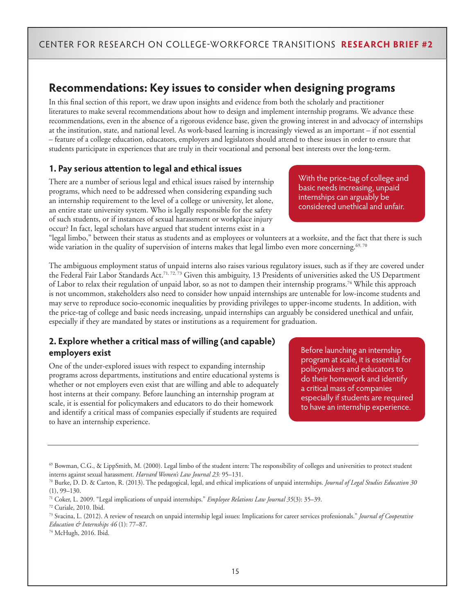# **Recommendations: Key issues to consider when designing programs**

In this final section of this report, we draw upon insights and evidence from both the scholarly and practitioner literatures to make several recommendations about how to design and implement internship programs. We advance these recommendations, even in the absence of a rigorous evidence base, given the growing interest in and advocacy of internships at the institution, state, and national level. As work-based learning is increasingly viewed as an important – if not essential – feature of a college education, educators, employers and legislators should attend to these issues in order to ensure that students participate in experiences that are truly in their vocational and personal best interests over the long-term.

### **1. Pay serious attention to legal and ethical issues**

There are a number of serious legal and ethical issues raised by internship programs, which need to be addressed when considering expanding such an internship requirement to the level of a college or university, let alone, an entire state university system. Who is legally responsible for the safety of such students, or if instances of sexual harassment or workplace injury occur? In fact, legal scholars have argued that student interns exist in a

With the price-tag of college and basic needs increasing, unpaid internships can arguably be considered unethical and unfair.

"legal limbo," between their status as students and as employees or volunteers at a worksite, and the fact that there is such wide variation in the quality of supervision of interns makes that legal limbo even more concerning.<sup>69, 70</sup>

The ambiguous employment status of unpaid interns also raises various regulatory issues, such as if they are covered under the Federal Fair Labor Standards Act.<sup>71, 72, 73</sup> Given this ambiguity, 13 Presidents of universities asked the US Department of Labor to relax their regulation of unpaid labor, so as not to dampen their internship programs.74 While this approach is not uncommon, stakeholders also need to consider how unpaid internships are untenable for low-income students and may serve to reproduce socio-economic inequalities by providing privileges to upper-income students. In addition, with the price-tag of college and basic needs increasing, unpaid internships can arguably be considered unethical and unfair, especially if they are mandated by states or institutions as a requirement for graduation.

### **2. Explore whether a critical mass of willing (and capable) employers exist**

One of the under-explored issues with respect to expanding internship programs across departments, institutions and entire educational systems is whether or not employers even exist that are willing and able to adequately host interns at their company. Before launching an internship program at scale, it is essential for policymakers and educators to do their homework and identify a critical mass of companies especially if students are required to have an internship experience.

Before launching an internship program at scale, it is essential for policymakers and educators to do their homework and identify a critical mass of companies especially if students are required to have an internship experience.

<sup>69</sup> Bowman, C.G., & LippSmith, M. (2000). Legal limbo of the student intern: The responsibility of colleges and universities to protect student interns against sexual harassment. *Harvard Women's Law Journal 23:* 95–131.

<sup>70</sup> Burke, D. D. & Carton, R. (2013). The pedagogical, legal, and ethical implications of unpaid internships. *Journal of Legal Studies Education 30* (1), 99–130.

<sup>71</sup> Coker, L. 2009. "Legal implications of unpaid internships." *Employee Relations Law Journal 35*(3): 35–39.

<sup>72</sup> Curiale, 2010. Ibid.

<sup>73</sup> Svacina, L. (2012). A review of research on unpaid internship legal issues: Implications for career services professionals." *Journal of Cooperative Education & Internships 46* (1): 77–87.

<sup>74</sup> McHugh, 2016. Ibid.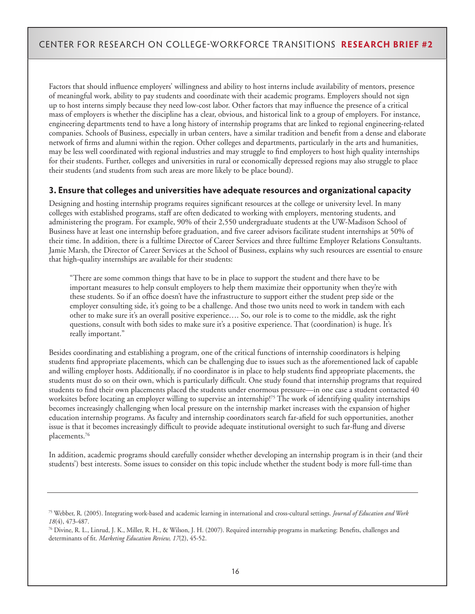Factors that should influence employers' willingness and ability to host interns include availability of mentors, presence of meaningful work, ability to pay students and coordinate with their academic programs. Employers should not sign up to host interns simply because they need low-cost labor. Other factors that may influence the presence of a critical mass of employers is whether the discipline has a clear, obvious, and historical link to a group of employers. For instance, engineering departments tend to have a long history of internship programs that are linked to regional engineering-related companies. Schools of Business, especially in urban centers, have a similar tradition and benefit from a dense and elaborate network of firms and alumni within the region. Other colleges and departments, particularly in the arts and humanities, may be less well coordinated with regional industries and may struggle to find employers to host high quality internships for their students. Further, colleges and universities in rural or economically depressed regions may also struggle to place their students (and students from such areas are more likely to be place bound).

### **3. Ensure that colleges and universities have adequate resources and organizational capacity**

Designing and hosting internship programs requires significant resources at the college or university level. In many colleges with established programs, staff are often dedicated to working with employers, mentoring students, and administering the program. For example, 90% of their 2,550 undergraduate students at the UW-Madison School of Business have at least one internship before graduation, and five career advisors facilitate student internships at 50% of their time. In addition, there is a fulltime Director of Career Services and three fulltime Employer Relations Consultants. Jamie Marsh, the Director of Career Services at the School of Business, explains why such resources are essential to ensure that high-quality internships are available for their students:

"There are some common things that have to be in place to support the student and there have to be important measures to help consult employers to help them maximize their opportunity when they're with these students. So if an office doesn't have the infrastructure to support either the student prep side or the employer consulting side, it's going to be a challenge. And those two units need to work in tandem with each other to make sure it's an overall positive experience…. So, our role is to come to the middle, ask the right questions, consult with both sides to make sure it's a positive experience. That (coordination) is huge. It's really important."

Besides coordinating and establishing a program, one of the critical functions of internship coordinators is helping students find appropriate placements, which can be challenging due to issues such as the aforementioned lack of capable and willing employer hosts. Additionally, if no coordinator is in place to help students find appropriate placements, the students must do so on their own, which is particularly difficult. One study found that internship programs that required students to find their own placements placed the students under enormous pressure—in one case a student contacted 40 worksites before locating an employer willing to supervise an internship!<sup>75</sup> The work of identifying quality internships becomes increasingly challenging when local pressure on the internship market increases with the expansion of higher education internship programs. As faculty and internship coordinators search far-afield for such opportunities, another issue is that it becomes increasingly difficult to provide adequate institutional oversight to such far-flung and diverse placements.76

In addition, academic programs should carefully consider whether developing an internship program is in their (and their students') best interests. Some issues to consider on this topic include whether the student body is more full-time than

<sup>75</sup> Webber, R. (2005). Integrating work-based and academic learning in international and cross-cultural settings. *Journal of Education and Work 18*(4), 473-487.

<sup>76</sup> Divine, R. L., Linrud, J. K., Miller, R. H., & Wilson, J. H. (2007). Required internship programs in marketing: Benefits, challenges and determinants of fit. *Marketing Education Review, 17*(2), 45-52.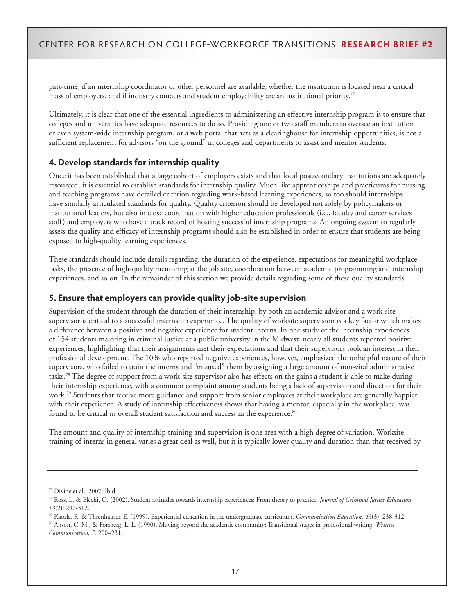part-time, if an internship coordinator or other personnel are available, whether the institution is located near a critical mass of employers, and if industry contacts and student employability are an institutional priority.77

Ultimately, it is clear that one of the essential ingredients to administering an effective internship program is to ensure that colleges and universities have adequate resources to do so. Providing one or two staff members to oversee an institution or even system-wide internship program, or a web portal that acts as a clearinghouse for internship opportunities, is not a sufficient replacement for advisors "on the ground" in colleges and departments to assist and mentor students.

### **4. Develop standards for internship quality**

Once it has been established that a large cohort of employers exists and that local postsecondary institutions are adequately resourced, it is essential to establish standards for internship quality. Much like apprenticeships and practicums for nursing and teaching programs have detailed criterion regarding work-based learning experiences, so too should internships have similarly articulated standards for quality. Quality criterion should be developed not solely by policymakers or institutional leaders, but also in close coordination with higher education professionals (i.e., faculty and career services staff) and employers who have a track record of hosting successful internship programs. An ongoing system to regularly assess the quality and efficacy of internship programs should also be established in order to ensure that students are being exposed to high-quality learning experiences.

These standards should include details regarding: the duration of the experience, expectations for meaningful workplace tasks, the presence of high-quality mentoring at the job site, coordination between academic programming and internship experiences, and so on. In the remainder of this section we provide details regarding some of these quality standards.

### **5. Ensure that employers can provide quality job-site supervision**

Supervision of the student through the duration of their internship, by both an academic advisor and a work-site supervisor is critical to a successful internship experience. The quality of worksite supervision is a key factor which makes a difference between a positive and negative experience for student interns. In one study of the internship experiences of 154 students majoring in criminal justice at a public university in the Midwest, nearly all students reported positive experiences, highlighting that their assignments met their expectations and that their supervisors took an interest in their professional development. The 10% who reported negative experiences, however, emphasized the unhelpful nature of their supervisors, who failed to train the interns and "misused" them by assigning a large amount of non-vital administrative tasks.<sup>78</sup> The degree of support from a work-site supervisor also has effects on the gains a student is able to make during their internship experience, with a common complaint among students being a lack of supervision and direction for their work.<sup>79</sup> Students that receive more guidance and support from senior employees at their workplace are generally happier with their experience. A study of internship effectiveness shows that having a mentor, especially in the workplace, was found to be critical in overall student satisfaction and success in the experience.<sup>80</sup>

The amount and quality of internship training and supervision is one area with a high degree of variation. Worksite training of interns in general varies a great deal as well, but it is typically lower quality and duration than that received by

<sup>77</sup> Divine et al., 2007. Ibid

<sup>78</sup> Ross, L. & Elechi, O. (2002). Student attitudes towards internship experiences: From theory to practice. *Journal of Criminal Justice Education 13*(2): 297-312.

<sup>79</sup> Katula, R. & Threnhauser, E. (1999). Experiential education in the undergraduate curriculum. *Communication Education, 43*(3), 238-312. 80 Anson, C. M., & Forsberg, L. L. (1990). Moving beyond the academic community: Transitional stages in professional writing. *Written Communication, 7,* 200–231.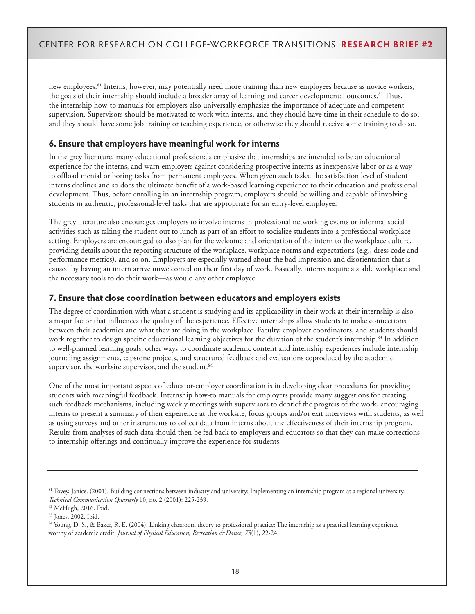new employees.<sup>81</sup> Interns, however, may potentially need more training than new employees because as novice workers, the goals of their internship should include a broader array of learning and career developmental outcomes.<sup>82</sup> Thus, the internship how-to manuals for employers also universally emphasize the importance of adequate and competent supervision. Supervisors should be motivated to work with interns, and they should have time in their schedule to do so, and they should have some job training or teaching experience, or otherwise they should receive some training to do so.

### **6. Ensure that employers have meaningful work for interns**

In the grey literature, many educational professionals emphasize that internships are intended to be an educational experience for the interns, and warn employers against considering prospective interns as inexpensive labor or as a way to offload menial or boring tasks from permanent employees. When given such tasks, the satisfaction level of student interns declines and so does the ultimate benefit of a work-based learning experience to their education and professional development. Thus, before enrolling in an internship program, employers should be willing and capable of involving students in authentic, professional-level tasks that are appropriate for an entry-level employee.

The grey literature also encourages employers to involve interns in professional networking events or informal social activities such as taking the student out to lunch as part of an effort to socialize students into a professional workplace setting. Employers are encouraged to also plan for the welcome and orientation of the intern to the workplace culture, providing details about the reporting structure of the workplace, workplace norms and expectations (e.g., dress code and performance metrics), and so on. Employers are especially warned about the bad impression and disorientation that is caused by having an intern arrive unwelcomed on their first day of work. Basically, interns require a stable workplace and the necessary tools to do their work—as would any other employee.

### **7. Ensure that close coordination between educators and employers exists**

The degree of coordination with what a student is studying and its applicability in their work at their internship is also a major factor that influences the quality of the experience. Effective internships allow students to make connections between their academics and what they are doing in the workplace. Faculty, employer coordinators, and students should work together to design specific educational learning objectives for the duration of the student's internship.<sup>83</sup> In addition to well-planned learning goals, other ways to coordinate academic content and internship experiences include internship journaling assignments, capstone projects, and structured feedback and evaluations coproduced by the academic supervisor, the worksite supervisor, and the student.<sup>84</sup>

One of the most important aspects of educator-employer coordination is in developing clear procedures for providing students with meaningful feedback. Internship how-to manuals for employers provide many suggestions for creating such feedback mechanisms, including weekly meetings with supervisors to debrief the progress of the work, encouraging interns to present a summary of their experience at the worksite, focus groups and/or exit interviews with students, as well as using surveys and other instruments to collect data from interns about the effectiveness of their internship program. Results from analyses of such data should then be fed back to employers and educators so that they can make corrections to internship offerings and continually improve the experience for students.

<sup>&</sup>lt;sup>81</sup> Tovey, Janice. (2001). Building connections between industry and university: Implementing an internship program at a regional university. *Technical Communication Quarterly* 10, no. 2 (2001): 225-239.

<sup>82</sup> McHugh, 2016. Ibid.

<sup>83</sup> Jones, 2002. Ibid.

<sup>84</sup> Young, D. S., & Baker, R. E. (2004). Linking classroom theory to professional practice: The internship as a practical learning experience worthy of academic credit. *Journal of Physical Education, Recreation & Dance, 75*(1), 22-24.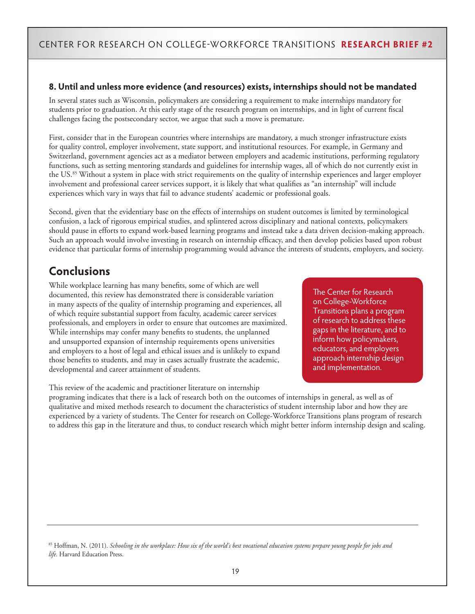### **8. Until and unless more evidence (and resources) exists, internships should not be mandated**

In several states such as Wisconsin, policymakers are considering a requirement to make internships mandatory for students prior to graduation. At this early stage of the research program on internships, and in light of current fiscal challenges facing the postsecondary sector, we argue that such a move is premature.

First, consider that in the European countries where internships are mandatory, a much stronger infrastructure exists for quality control, employer involvement, state support, and institutional resources. For example, in Germany and Switzerland, government agencies act as a mediator between employers and academic institutions, performing regulatory functions, such as setting mentoring standards and guidelines for internship wages, all of which do not currently exist in the US.<sup>85</sup> Without a system in place with strict requirements on the quality of internship experiences and larger employer involvement and professional career services support, it is likely that what qualifies as "an internship" will include experiences which vary in ways that fail to advance students' academic or professional goals.

Second, given that the evidentiary base on the effects of internships on student outcomes is limited by terminological confusion, a lack of rigorous empirical studies, and splintered across disciplinary and national contexts, policymakers should pause in efforts to expand work-based learning programs and instead take a data driven decision-making approach. Such an approach would involve investing in research on internship efficacy, and then develop policies based upon robust evidence that particular forms of internship programming would advance the interests of students, employers, and society.

# **Conclusions**

While workplace learning has many benefits, some of which are well documented, this review has demonstrated there is considerable variation in many aspects of the quality of internship programing and experiences, all of which require substantial support from faculty, academic career services professionals, and employers in order to ensure that outcomes are maximized. While internships may confer many benefits to students, the unplanned and unsupported expansion of internship requirements opens universities and employers to a host of legal and ethical issues and is unlikely to expand those benefits to students, and may in cases actually frustrate the academic, developmental and career attainment of students.

This review of the academic and practitioner literature on internship

The Center for Research on College-Workforce Transitions plans a program of research to address these gaps in the literature, and to inform how policymakers, educators, and employers approach internship design and implementation.

programing indicates that there is a lack of research both on the outcomes of internships in general, as well as of qualitative and mixed methods research to document the characteristics of student internship labor and how they are experienced by a variety of students. The Center for research on College-Workforce Transitions plans program of research to address this gap in the literature and thus, to conduct research which might better inform internship design and scaling.

85 Hoffman, N. (2011). *Schooling in the workplace: How six of the world's best vocational education systems prepare young people for jobs and life.* Harvard Education Press.